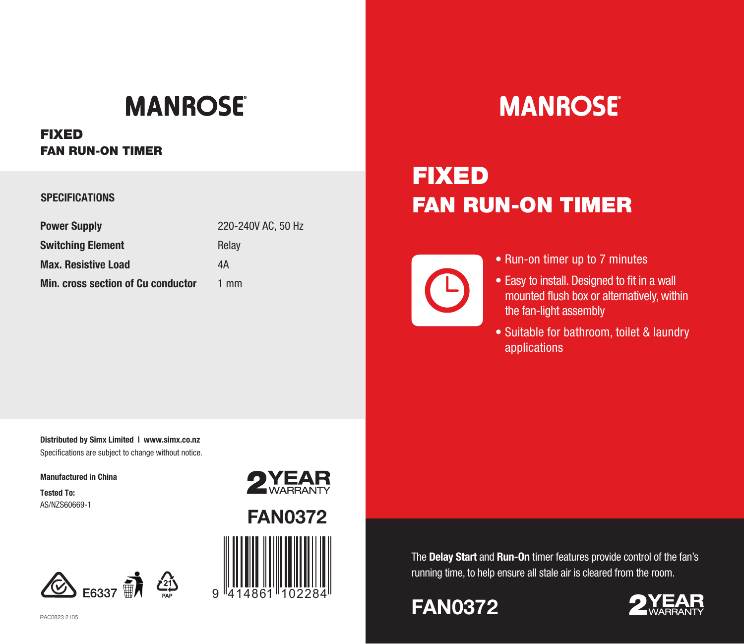## **MANROSE**

**FIXEDFAN RUN-ON TIMER**

#### **SPECIFICATIONS**

| <b>Power Supply</b>                       | 220-240V AC, 50 Hz |
|-------------------------------------------|--------------------|
| <b>Switching Element</b>                  | Relay              |
| <b>Max. Resistive Load</b>                | 4А                 |
| <b>Min. cross section of Cu conductor</b> | $1 \text{ mm}$     |

# **MANROSE®**

## **FIXEDFAN RUN-ON TIMER**

- Run-on timer up to 7 minutes
- Easy to install. Designed to fit in a wall mounted flush box or alternatively, within the fan-light assembly
- Suitable for bathroom, toilet & laundry applications

**Distributed by Simx Limited | www.simx.co.nz**  Specifications are subject to change without notice.

**Manufactured in China**

**Tested To:**AS/NZS60669-1





9

The **Delay Start** and **Run-On** timer features provide control of the fan's running time, to help ensure all stale air is cleared from the room.

### **FAN0372**